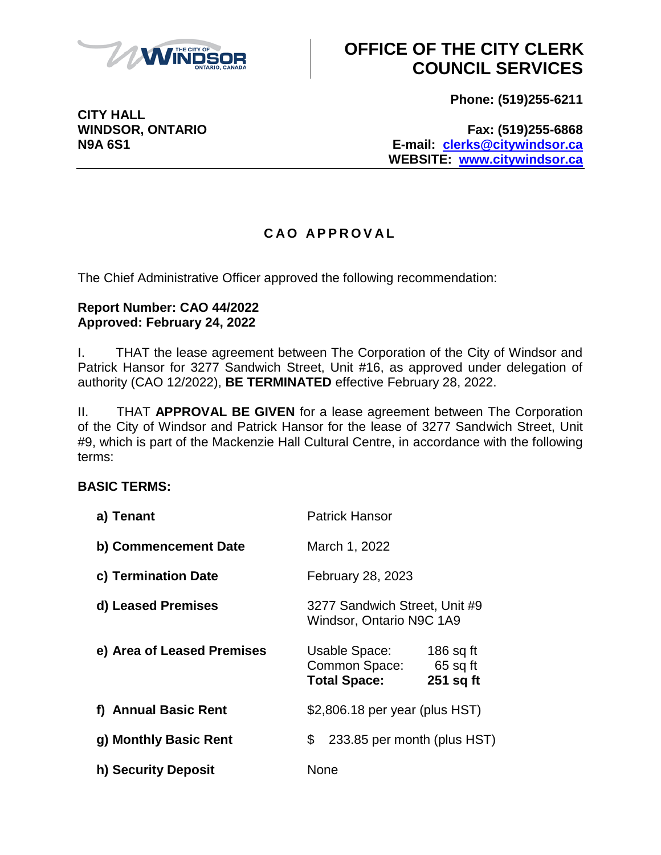

**CITY HALL**

# **OFFICE OF THE CITY CLERK COUNCIL SERVICES**

**Phone: (519)255-6211**

**WINDSOR, ONTARIO Fax: (519)255-6868 N9A 6S1 E-mail: [clerks@citywindsor.ca](mailto:clerks@citywindsor.ca) WEBSITE: [www.citywindsor.ca](http://www.citywindsor.ca/)**

### **C A O A P P R O V A L**

The Chief Administrative Officer approved the following recommendation:

#### **Report Number: CAO 44/2022 Approved: February 24, 2022**

I. THAT the lease agreement between The Corporation of the City of Windsor and Patrick Hansor for 3277 Sandwich Street, Unit #16, as approved under delegation of authority (CAO 12/2022), **BE TERMINATED** effective February 28, 2022.

II. THAT **APPROVAL BE GIVEN** for a lease agreement between The Corporation of the City of Windsor and Patrick Hansor for the lease of 3277 Sandwich Street, Unit #9, which is part of the Mackenzie Hall Cultural Centre, in accordance with the following terms:

### **BASIC TERMS:**

| a) Tenant                  | <b>Patrick Hansor</b>                                                                         |
|----------------------------|-----------------------------------------------------------------------------------------------|
| b) Commencement Date       | March 1, 2022                                                                                 |
| c) Termination Date        | February 28, 2023                                                                             |
| d) Leased Premises         | 3277 Sandwich Street, Unit #9<br>Windsor, Ontario N9C 1A9                                     |
| e) Area of Leased Premises | 186 sq ft<br>Usable Space:<br>Common Space:<br>$65$ sq ft<br><b>Total Space:</b><br>251 sq ft |
| f) Annual Basic Rent       | \$2,806.18 per year (plus HST)                                                                |
| g) Monthly Basic Rent      | 233.85 per month (plus HST)<br>\$                                                             |
| h) Security Deposit        | None                                                                                          |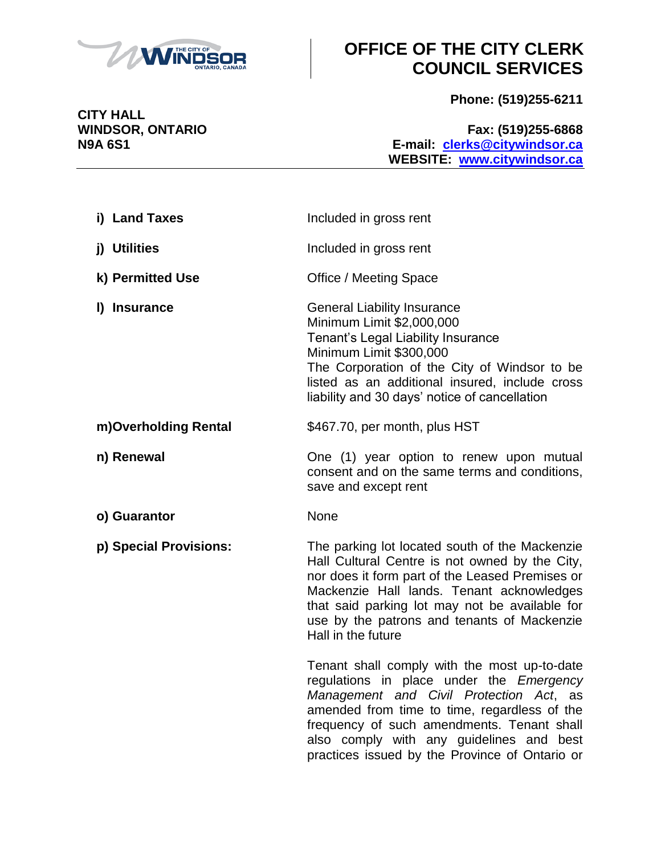

# **OFFICE OF THE CITY CLERK COUNCIL SERVICES**

**Phone: (519)255-6211**

**WINDSOR, ONTARIO Fax: (519)255-6868 N9A 6S1 E-mail: [clerks@citywindsor.ca](mailto:clerks@citywindsor.ca) WEBSITE: [www.citywindsor.ca](http://www.citywindsor.ca/)**

| i) Land Taxes          | Included in gross rent                                                                                                                                                                                                                                                                                                          |
|------------------------|---------------------------------------------------------------------------------------------------------------------------------------------------------------------------------------------------------------------------------------------------------------------------------------------------------------------------------|
| j) Utilities           | Included in gross rent                                                                                                                                                                                                                                                                                                          |
| k) Permitted Use       | <b>Office / Meeting Space</b>                                                                                                                                                                                                                                                                                                   |
| I) Insurance           | <b>General Liability Insurance</b><br>Minimum Limit \$2,000,000<br>Tenant's Legal Liability Insurance<br>Minimum Limit \$300,000<br>The Corporation of the City of Windsor to be<br>listed as an additional insured, include cross<br>liability and 30 days' notice of cancellation                                             |
| m)Overholding Rental   | \$467.70, per month, plus HST                                                                                                                                                                                                                                                                                                   |
| n) Renewal             | One (1) year option to renew upon mutual<br>consent and on the same terms and conditions,<br>save and except rent                                                                                                                                                                                                               |
| o) Guarantor           | None                                                                                                                                                                                                                                                                                                                            |
| p) Special Provisions: | The parking lot located south of the Mackenzie<br>Hall Cultural Centre is not owned by the City,<br>nor does it form part of the Leased Premises or<br>Mackenzie Hall lands. Tenant acknowledges<br>that said parking lot may not be available for<br>use by the patrons and tenants of Mackenzie<br>Hall in the future         |
|                        | Tenant shall comply with the most up-to-date<br>regulations in place under the Emergency<br>Management and Civil Protection Act, as<br>amended from time to time, regardless of the<br>frequency of such amendments. Tenant shall<br>also comply with any guidelines and best<br>practices issued by the Province of Ontario or |

**CITY HALL**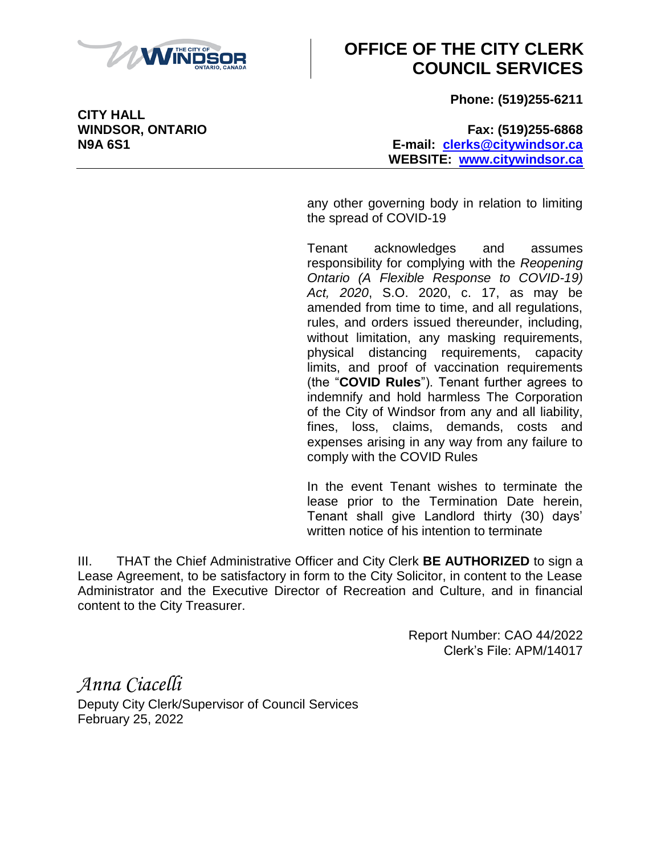

# **OFFICE OF THE CITY CLERK COUNCIL SERVICES**

**Phone: (519)255-6211**

**WINDSOR, ONTARIO Fax: (519)255-6868 N9A 6S1 E-mail: [clerks@citywindsor.ca](mailto:clerks@citywindsor.ca) WEBSITE: [www.citywindsor.ca](http://www.citywindsor.ca/)**

> any other governing body in relation to limiting the spread of COVID-19

> Tenant acknowledges and assumes responsibility for complying with the *Reopening Ontario (A Flexible Response to COVID-19) Act, 2020*, S.O. 2020, c. 17, as may be amended from time to time, and all regulations, rules, and orders issued thereunder, including, without limitation, any masking requirements, physical distancing requirements, capacity limits, and proof of vaccination requirements (the "**COVID Rules**"). Tenant further agrees to indemnify and hold harmless The Corporation of the City of Windsor from any and all liability, fines, loss, claims, demands, costs and expenses arising in any way from any failure to comply with the COVID Rules

> In the event Tenant wishes to terminate the lease prior to the Termination Date herein, Tenant shall give Landlord thirty (30) days' written notice of his intention to terminate

III. THAT the Chief Administrative Officer and City Clerk **BE AUTHORIZED** to sign a Lease Agreement, to be satisfactory in form to the City Solicitor, in content to the Lease Administrator and the Executive Director of Recreation and Culture, and in financial content to the City Treasurer.

> Report Number: CAO 44/2022 Clerk's File: APM/14017

*Anna Ciacelli* Deputy City Clerk/Supervisor of Council Services February 25, 2022

**CITY HALL**